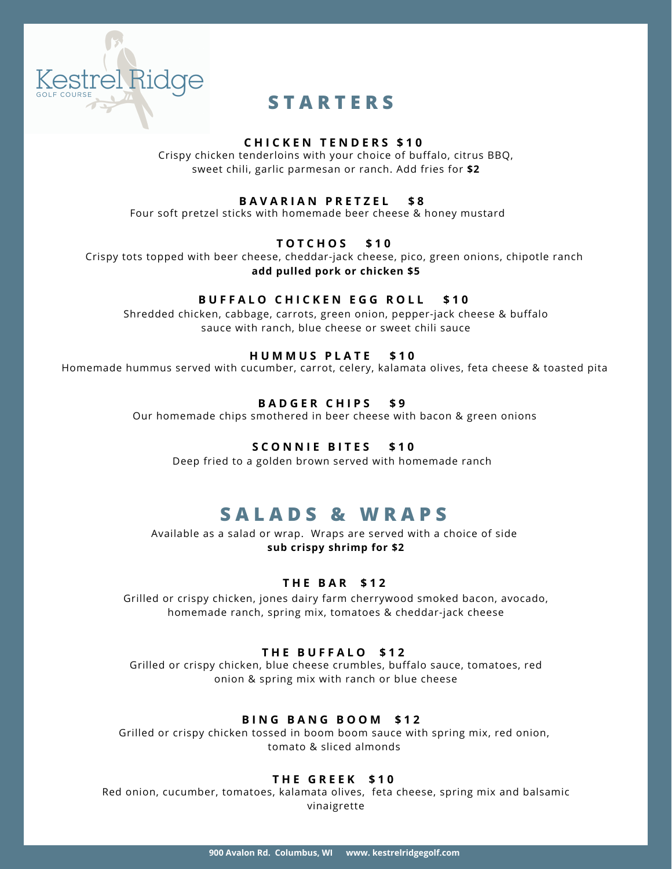

# **S T A R T E R S**

### **C H I C K E N T E N D E R S \$ 1 0**

Crispy chicken tenderloins with your choice of buffalo, citrus BBQ, sweet chili, garlic parmesan or ranch. Add fries for **\$2**

### **B A V A R I A N P R E T Z E L \$ 8**

Four soft pretzel sticks with homemade beer cheese & honey mustard

### **T O T C H O S \$ 1 0**

Crispy tots topped with beer cheese, cheddar-jack cheese, pico, green onions, chipotle ranch **add pulled pork or chicken \$5**

### **B U F F A L O C H I C K E N E G G R O L L \$ 1 0**

Shredded chicken, cabbage, carrots, green onion, pepper-jack cheese & buffalo sauce with ranch, blue cheese or sweet chili sauce

### **H U M M U S P L A T E \$ 1 0**

Homemade hummus served with cucumber, carrot, celery, kalamata olives, feta cheese & toasted pita

### **B A D G E R C H I P S \$ 9**

Our homemade chips smothered in beer cheese with bacon & green onions

### **S C O N N I E B I T E S \$ 1 0**

Deep fried to a golden brown served with homemade ranch

## **S A L A D S & W R A P S**

Available as a salad or wrap. Wraps are served with a choice of side **sub crispy shrimp for \$2**

### **T H E B A R \$ 1 2**

Grilled or crispy chicken, jones dairy farm cherrywood smoked bacon, avocado, homemade ranch, spring mix, tomatoes & cheddar-jack cheese

### **T H E B U F F A L O \$ 1 2**

Grilled or crispy chicken, blue cheese crumbles, buffalo sauce, tomatoes, red onion & spring mix with ranch or blue cheese

### **B I N G B A N G B O O M \$ 1 2**

Grilled or crispy chicken tossed in boom boom sauce with spring mix, red onion, tomato & sliced almonds

### **T H E G R E E K \$ 1 0**

Red onion, cucumber, tomatoes, kalamata olives, feta cheese, spring mix and balsamic vinaigrette